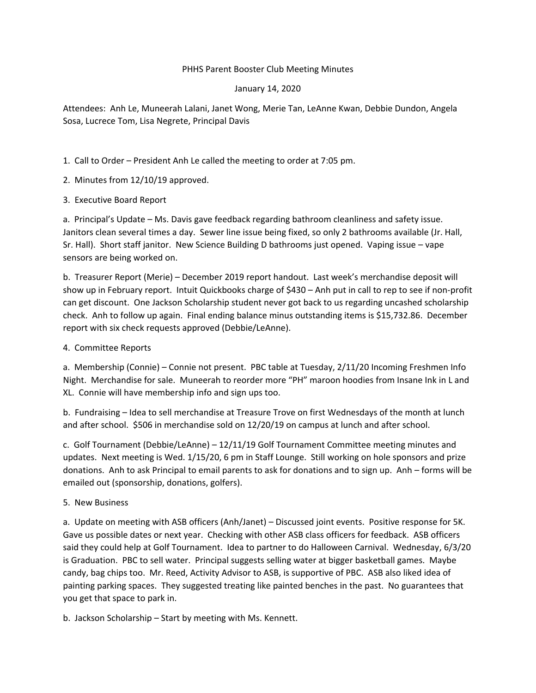## PHHS Parent Booster Club Meeting Minutes

## January 14, 2020

Attendees: Anh Le, Muneerah Lalani, Janet Wong, Merie Tan, LeAnne Kwan, Debbie Dundon, Angela Sosa, Lucrece Tom, Lisa Negrete, Principal Davis

1. Call to Order – President Anh Le called the meeting to order at 7:05 pm.

- 2. Minutes from 12/10/19 approved.
- 3. Executive Board Report

a. Principal's Update – Ms. Davis gave feedback regarding bathroom cleanliness and safety issue. Janitors clean several times a day. Sewer line issue being fixed, so only 2 bathrooms available (Jr. Hall, Sr. Hall). Short staff janitor. New Science Building D bathrooms just opened. Vaping issue – vape sensors are being worked on.

b. Treasurer Report (Merie) – December 2019 report handout. Last week's merchandise deposit will show up in February report. Intuit Quickbooks charge of \$430 – Anh put in call to rep to see if non-profit can get discount. One Jackson Scholarship student never got back to us regarding uncashed scholarship check. Anh to follow up again. Final ending balance minus outstanding items is \$15,732.86. December report with six check requests approved (Debbie/LeAnne).

4. Committee Reports

a. Membership (Connie) – Connie not present. PBC table at Tuesday, 2/11/20 Incoming Freshmen Info Night. Merchandise for sale. Muneerah to reorder more "PH" maroon hoodies from Insane Ink in L and XL. Connie will have membership info and sign ups too.

b. Fundraising – Idea to sell merchandise at Treasure Trove on first Wednesdays of the month at lunch and after school. \$506 in merchandise sold on 12/20/19 on campus at lunch and after school.

c. Golf Tournament (Debbie/LeAnne) – 12/11/19 Golf Tournament Committee meeting minutes and updates. Next meeting is Wed. 1/15/20, 6 pm in Staff Lounge. Still working on hole sponsors and prize donations. Anh to ask Principal to email parents to ask for donations and to sign up. Anh – forms will be emailed out (sponsorship, donations, golfers).

5. New Business

a. Update on meeting with ASB officers (Anh/Janet) – Discussed joint events. Positive response for 5K. Gave us possible dates or next year. Checking with other ASB class officers for feedback. ASB officers said they could help at Golf Tournament. Idea to partner to do Halloween Carnival. Wednesday, 6/3/20 is Graduation. PBC to sell water. Principal suggests selling water at bigger basketball games. Maybe candy, bag chips too. Mr. Reed, Activity Advisor to ASB, is supportive of PBC. ASB also liked idea of painting parking spaces. They suggested treating like painted benches in the past. No guarantees that you get that space to park in.

b. Jackson Scholarship – Start by meeting with Ms. Kennett.